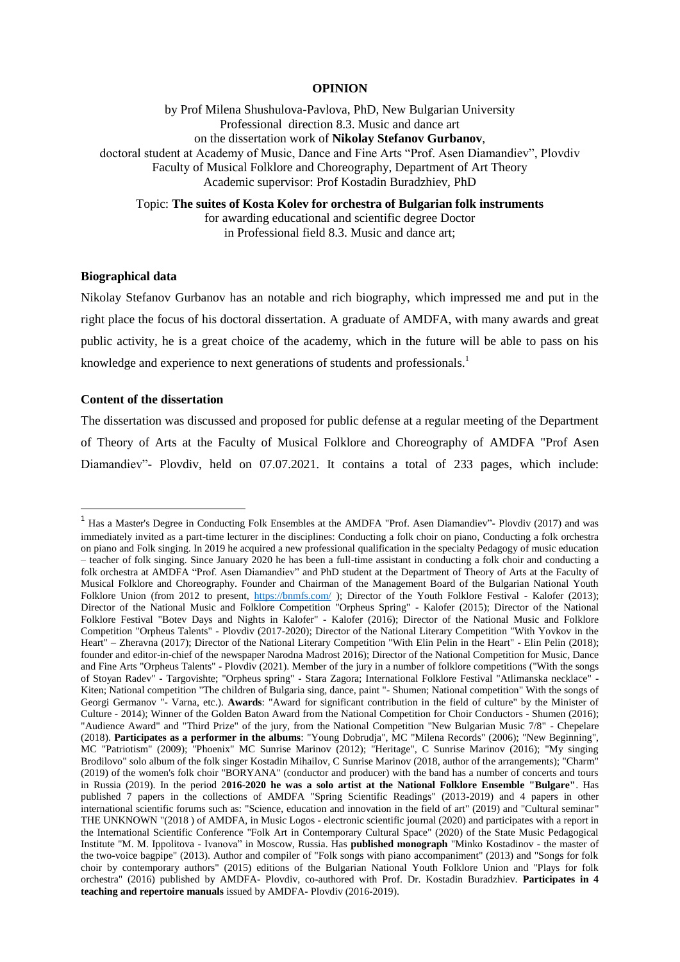## **OPINION**

by Prof Milena Shushulova-Pavlova, PhD, New Bulgarian University Professional direction 8.3. Music and dance art on the dissertation work of **Nikolay Stefanov Gurbanov**, doctoral student at Academy of Music, Dance and Fine Arts "Prof. Asen Diamandiev", Plovdiv Faculty of Musical Folklore and Choreography, Department of Art Theory Academic supervisor: Prof Kostadin Buradzhiev, PhD

Topic: **The suites of Kosta Kolev for orchestra of Bulgarian folk instruments** for awarding educational and scientific degree Doctor in Professional field 8.3. Music and dance art;

## **Biographical data**

Nikolay Stefanov Gurbanov has an notable and rich biography, which impressed me and put in the right place the focus of his doctoral dissertation. A graduate of AMDFA, with many awards and great public activity, he is a great choice of the academy, which in the future will be able to pass on his knowledge and experience to next generations of students and professionals.<sup>1</sup>

### **Content of the dissertation**

1

The dissertation was discussed and proposed for public defense at a regular meeting of the Department of Theory of Arts at the Faculty of Musical Folklore and Choreography of AMDFA "Prof Asen Diamandiev"- Plovdiv, held on 07.07.2021. It contains a total of 233 pages, which include:

<sup>&</sup>lt;sup>1</sup> Has a Master's Degree in Conducting Folk Ensembles at the AMDFA "Prof. Asen Diamandiev"- Plovdiv (2017) and was immediately invited as a part-time lecturer in the disciplines: Conducting a folk choir on piano, Conducting a folk orchestra on piano and Folk singing. In 2019 he acquired a new professional qualification in the specialty Pedagogy of music education – teacher of folk singing. Since January 2020 he has been a full-time assistant in conducting a folk choir and conducting a folk orchestra at AMDFA "Prof. Asen Diamandiev" and PhD student at the Department of Theory of Arts at the Faculty of Musical Folklore and Choreography. Founder and Chairman of the Management Board of the Bulgarian National Youth Folklore Union (from 2012 to present,<https://bnmfs.com/>); Director of the Youth Folklore Festival - Kalofer (2013); Director of the National Music and Folklore Competition "Orpheus Spring" - Kalofer (2015); Director of the National Folklore Festival "Botev Days and Nights in Kalofer" - Kalofer (2016); Director of the National Music and Folklore Competition "Orpheus Talents" - Plovdiv (2017-2020); Director of the National Literary Competition "With Yovkov in the Heart" – Zheravna (2017); Director of the National Literary Competition "With Elin Pelin in the Heart" - Elin Pelin (2018); founder and editor-in-chief of the newspaper Narodna Madrost 2016); Director of the National Competition for Music, Dance and Fine Arts "Orpheus Talents" - Plovdiv (2021). Member of the jury in a number of folklore competitions ("With the songs of Stoyan Radev" - Targovishte; "Orpheus spring" - Stara Zagora; International Folklore Festival "Atlimanska necklace" - Kiten; National competition "The children of Bulgaria sing, dance, paint "- Shumen; National competition" With the songs of Georgi Germanov "- Varna, etc.). **Awards**: "Award for significant contribution in the field of culture" by the Minister of Culture - 2014); Winner of the Golden Baton Award from the National Competition for Choir Conductors - Shumen (2016); "Audience Award" and "Third Prize" of the jury, from the National Competition "New Bulgarian Music 7/8" - Chepelare (2018). **Participates as a performer in the albums**: "Young Dobrudja", MC "Milena Records" (2006); "New Beginning", MC "Patriotism" (2009); "Phoenix" MC Sunrise Marinov (2012); "Heritage", C Sunrise Marinov (2016); "My singing Brodilovo" solo album of the folk singer Kostadin Mihailov, C Sunrise Marinov (2018, author of the arrangements); "Charm" (2019) of the women's folk choir "BORYANA" (conductor and producer) with the band has a number of concerts and tours in Russia (2019). In the period 2**016-2020 he was a solo artist at the National Folklore Ensemble "Bulgare"**. Has published 7 papers in the collections of AMDFA "Spring Scientific Readings" (2013-2019) and 4 papers in other international scientific forums such as: "Science, education and innovation in the field of art" (2019) and "Cultural seminar" THE UNKNOWN "(2018 ) of AMDFA, in Music Logos - electronic scientific journal (2020) and participates with a report in the International Scientific Conference "Folk Art in Contemporary Cultural Space" (2020) of the State Music Pedagogical Institute "M. M. Ippolitova - Ivanova" in Moscow, Russia. Has **published monograph** "Minko Kostadinov - the master of the two-voice bagpipe" (2013). Author and compiler of "Folk songs with piano accompaniment" (2013) and "Songs for folk choir by contemporary authors" (2015) editions of the Bulgarian National Youth Folklore Union and "Plays for folk orchestra" (2016) published by AMDFA- Plovdiv, co-authored with Prof. Dr. Kostadin Buradzhiev. **Participates in 4 teaching and repertoire manuals** issued by AMDFA- Plovdiv (2016-2019).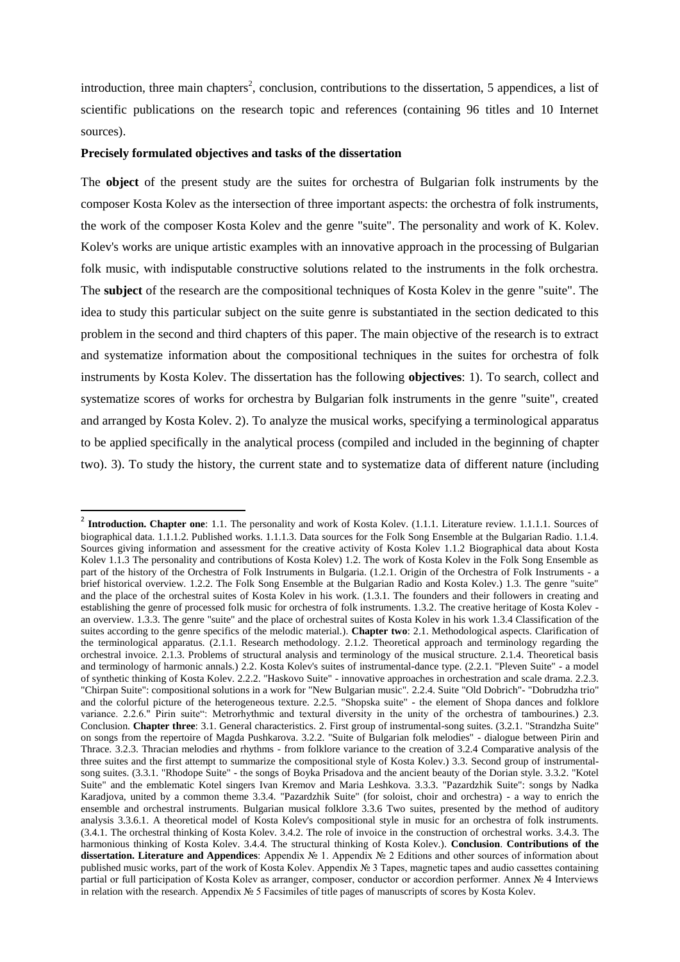introduction, three main chapters<sup>2</sup>, conclusion, contributions to the dissertation, 5 appendices, a list of scientific publications on the research topic and references (containing 96 titles and 10 Internet sources).

### **Precisely formulated objectives and tasks of the dissertation**

**.** 

The **object** of the present study are the suites for orchestra of Bulgarian folk instruments by the composer Kosta Kolev as the intersection of three important aspects: the orchestra of folk instruments, the work of the composer Kosta Kolev and the genre "suite". The personality and work of K. Kolev. Kolev's works are unique artistic examples with an innovative approach in the processing of Bulgarian folk music, with indisputable constructive solutions related to the instruments in the folk orchestra. The **subject** of the research are the compositional techniques of Kosta Kolev in the genre "suite". The idea to study this particular subject on the suite genre is substantiated in the section dedicated to this problem in the second and third chapters of this paper. The main objective of the research is to extract and systematize information about the compositional techniques in the suites for orchestra of folk instruments by Kosta Kolev. The dissertation has the following **objectives**: 1). To search, collect and systematize scores of works for orchestra by Bulgarian folk instruments in the genre "suite", created and arranged by Kosta Kolev. 2). To analyze the musical works, specifying a terminological apparatus to be applied specifically in the analytical process (compiled and included in the beginning of chapter two). 3). To study the history, the current state and to systematize data of different nature (including

<sup>&</sup>lt;sup>2</sup> Introduction. Chapter one: 1.1. The personality and work of Kosta Kolev. (1.1.1. Literature review. 1.1.1.1. Sources of biographical data. 1.1.1.2. Published works. 1.1.1.3. Data sources for the Folk Song Ensemble at the Bulgarian Radio. 1.1.4. Sources giving information and assessment for the creative activity of Kosta Kolev 1.1.2 Biographical data about Kosta Kolev 1.1.3 The personality and contributions of Kosta Kolev) 1.2. The work of Kosta Kolev in the Folk Song Ensemble as part of the history of the Orchestra of Folk Instruments in Bulgaria. (1.2.1. Origin of the Orchestra of Folk Instruments - a brief historical overview. 1.2.2. The Folk Song Ensemble at the Bulgarian Radio and Kosta Kolev.) 1.3. The genre "suite" and the place of the orchestral suites of Kosta Kolev in his work. (1.3.1. The founders and their followers in creating and establishing the genre of processed folk music for orchestra of folk instruments. 1.3.2. The creative heritage of Kosta Kolev an overview. 1.3.3. The genre "suite" and the place of orchestral suites of Kosta Kolev in his work 1.3.4 Classification of the suites according to the genre specifics of the melodic material.). **Chapter two**: 2.1. Methodological aspects. Clarification of the terminological apparatus. (2.1.1. Research methodology. 2.1.2. Theoretical approach and terminology regarding the orchestral invoice. 2.1.3. Problems of structural analysis and terminology of the musical structure. 2.1.4. Theoretical basis and terminology of harmonic annals.) 2.2. Kosta Kolev's suites of instrumental-dance type. (2.2.1. "Pleven Suite" - a model of synthetic thinking of Kosta Kolev. 2.2.2. "Haskovo Suite" - innovative approaches in orchestration and scale drama. 2.2.3. "Chirpan Suite": compositional solutions in a work for "New Bulgarian music". 2.2.4. Suite "Old Dobrich"- "Dobrudzha trio" and the colorful picture of the heterogeneous texture. 2.2.5. "Shopska suite" - the element of Shopa dances and folklore variance. 2.2.6." Pirin suite": Metrorhythmic and textural diversity in the unity of the orchestra of tambourines.) 2.3. Conclusion. **Chapter three**: 3.1. General characteristics. 2. First group of instrumental-song suites. (3.2.1. "Strandzha Suite" on songs from the repertoire of Magda Pushkarova. 3.2.2. "Suite of Bulgarian folk melodies" - dialogue between Pirin and Thrace. 3.2.3. Thracian melodies and rhythms - from folklore variance to the creation of 3.2.4 Comparative analysis of the three suites and the first attempt to summarize the compositional style of Kosta Kolev.) 3.3. Second group of instrumentalsong suites. (3.3.1. "Rhodope Suite" - the songs of Boyka Prisadova and the ancient beauty of the Dorian style. 3.3.2. "Kotel Suite" and the emblematic Kotel singers Ivan Kremov and Maria Leshkova. 3.3.3. "Pazardzhik Suite": songs by Nadka Karadjova, united by a common theme 3.3.4. "Pazardzhik Suite" (for soloist, choir and orchestra) - a way to enrich the ensemble and orchestral instruments. Bulgarian musical folklore 3.3.6 Two suites, presented by the method of auditory analysis 3.3.6.1. A theoretical model of Kosta Kolev's compositional style in music for an orchestra of folk instruments. (3.4.1. The orchestral thinking of Kosta Kolev. 3.4.2. The role of invoice in the construction of orchestral works. 3.4.3. The harmonious thinking of Kosta Kolev. 3.4.4. The structural thinking of Kosta Kolev.). **Conclusion**. **Contributions of the dissertation. Literature and Appendices**: Appendix № 1. Appendix № 2 Editions and other sources of information about published music works, part of the work of Kosta Kolev. Appendix № 3 Tapes, magnetic tapes and audio cassettes containing partial or full participation of Kosta Kolev as arranger, composer, conductor or accordion performer. Annex № 4 Interviews in relation with the research. Appendix № 5 Facsimiles of title pages of manuscripts of scores by Kosta Kolev.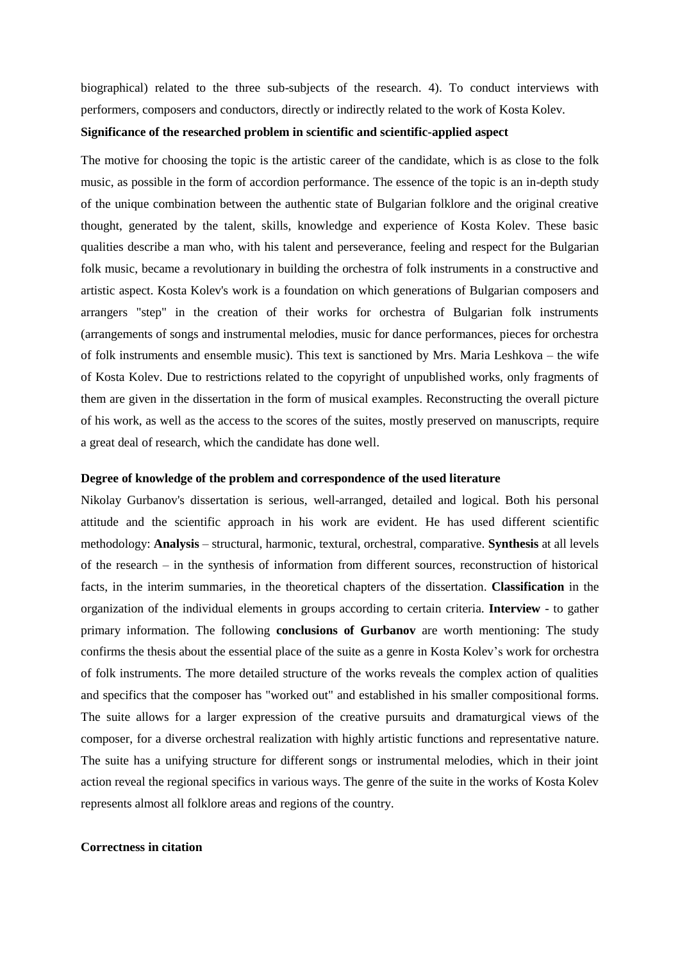biographical) related to the three sub-subjects of the research. 4). To conduct interviews with performers, composers and conductors, directly or indirectly related to the work of Kosta Kolev.

## **Significance of the researched problem in scientific and scientific-applied aspect**

The motive for choosing the topic is the artistic career of the candidate, which is as close to the folk music, as possible in the form of accordion performance. The essence of the topic is an in-depth study of the unique combination between the authentic state of Bulgarian folklore and the original creative thought, generated by the talent, skills, knowledge and experience of Kosta Kolev. These basic qualities describe a man who, with his talent and perseverance, feeling and respect for the Bulgarian folk music, became a revolutionary in building the orchestra of folk instruments in a constructive and artistic aspect. Kosta Kolev's work is a foundation on which generations of Bulgarian composers and arrangers "step" in the creation of their works for orchestra of Bulgarian folk instruments (arrangements of songs and instrumental melodies, music for dance performances, pieces for orchestra of folk instruments and ensemble music). This text is sanctioned by Mrs. Maria Leshkova – the wife of Kosta Kolev. Due to restrictions related to the copyright of unpublished works, only fragments of them are given in the dissertation in the form of musical examples. Reconstructing the overall picture of his work, as well as the access to the scores of the suites, mostly preserved on manuscripts, require a great deal of research, which the candidate has done well.

### **Degree of knowledge of the problem and correspondence of the used literature**

Nikolay Gurbanov's dissertation is serious, well-arranged, detailed and logical. Both his personal attitude and the scientific approach in his work are evident. He has used different scientific methodology: **Analysis** – structural, harmonic, textural, orchestral, comparative. **Synthesis** at all levels of the research – in the synthesis of information from different sources, reconstruction of historical facts, in the interim summaries, in the theoretical chapters of the dissertation. **Classification** in the organization of the individual elements in groups according to certain criteria. **Interview** - to gather primary information. The following **conclusions of Gurbanov** are worth mentioning: The study confirms the thesis about the essential place of the suite as a genre in Kosta Kolev's work for orchestra of folk instruments. The more detailed structure of the works reveals the complex action of qualities and specifics that the composer has "worked out" and established in his smaller compositional forms. The suite allows for a larger expression of the creative pursuits and dramaturgical views of the composer, for a diverse orchestral realization with highly artistic functions and representative nature. The suite has a unifying structure for different songs or instrumental melodies, which in their joint action reveal the regional specifics in various ways. The genre of the suite in the works of Kosta Kolev represents almost all folklore areas and regions of the country.

## **Correctness in citation**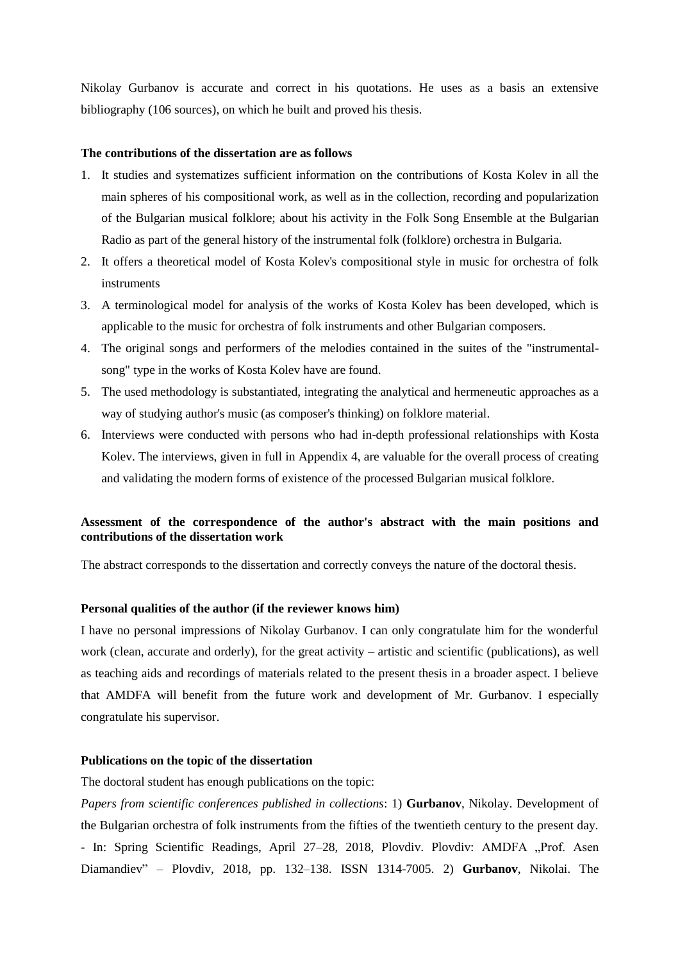Nikolay Gurbanov is accurate and correct in his quotations. He uses as a basis an extensive bibliography (106 sources), on which he built and proved his thesis.

### **The contributions of the dissertation are as follows**

- 1. It studies and systematizes sufficient information on the contributions of Kosta Kolev in all the main spheres of his compositional work, as well as in the collection, recording and popularization of the Bulgarian musical folklore; about his activity in the Folk Song Ensemble at the Bulgarian Radio as part of the general history of the instrumental folk (folklore) orchestra in Bulgaria.
- 2. It offers a theoretical model of Kosta Kolev's compositional style in music for orchestra of folk instruments
- 3. A terminological model for analysis of the works of Kosta Kolev has been developed, which is applicable to the music for orchestra of folk instruments and other Bulgarian composers.
- 4. The original songs and performers of the melodies contained in the suites of the "instrumentalsong" type in the works of Kosta Kolev have are found.
- 5. The used methodology is substantiated, integrating the analytical and hermeneutic approaches as a way of studying author's music (as composer's thinking) on folklore material.
- 6. Interviews were conducted with persons who had in-depth professional relationships with Kosta Kolev. The interviews, given in full in Appendix 4, are valuable for the overall process of creating and validating the modern forms of existence of the processed Bulgarian musical folklore.

# **Assessment of the correspondence of the author's abstract with the main positions and contributions of the dissertation work**

The abstract corresponds to the dissertation and correctly conveys the nature of the doctoral thesis.

### **Personal qualities of the author (if the reviewer knows him)**

I have no personal impressions of Nikolay Gurbanov. I can only congratulate him for the wonderful work (clean, accurate and orderly), for the great activity – artistic and scientific (publications), as well as teaching aids and recordings of materials related to the present thesis in a broader aspect. I believe that AMDFA will benefit from the future work and development of Mr. Gurbanov. I especially congratulate his supervisor.

## **Publications on the topic of the dissertation**

The doctoral student has enough publications on the topic:

*Papers from scientific conferences published in collections*: 1) **Gurbanov**, Nikolay. Development of the Bulgarian orchestra of folk instruments from the fifties of the twentieth century to the present day. - In: Spring Scientific Readings, April 27-28, 2018, Plovdiv. Plovdiv: AMDFA "Prof. Asen Diamandiev" – Plovdiv, 2018, pp. 132–138. ISSN 1314-7005. 2) **Gurbanov**, Nikolai. The